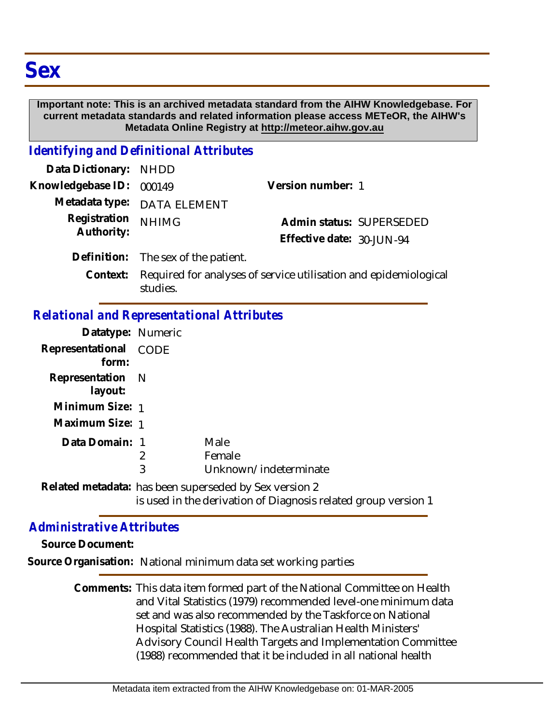## **Important note: This is an archived metadata standard from the AIHW Knowledgebase. For current metadata standards and related information please access METeOR, the AIHW's Metadata Online Registry at http://meteor.aihw.gov.au**

## *Identifying and Definitional Attributes*

| Data Dictionary: NHDD      |                                     |                           |  |
|----------------------------|-------------------------------------|---------------------------|--|
| Knowledgebase ID: 000149   |                                     | Version number: 1         |  |
|                            | Metadata type: DATA ELEMENT         |                           |  |
| Registration<br>Authority: | <b>NHIMG</b>                        | Admin status: SUPERSEDED  |  |
|                            |                                     | Effective date: 30-JUN-94 |  |
|                            | Definition: The sex of the patient. |                           |  |
|                            |                                     |                           |  |

Required for analyses of service utilisation and epidemiological studies. **Context:**

## *Relational and Representational Attributes*

| Datatype: Numeric              |   |                                                                                                                          |
|--------------------------------|---|--------------------------------------------------------------------------------------------------------------------------|
| Representational CODE<br>form: |   |                                                                                                                          |
| Representation N<br>layout:    |   |                                                                                                                          |
| Minimum Size: 1                |   |                                                                                                                          |
| Maximum Size: 1                |   |                                                                                                                          |
| Data Domain: 1                 |   | Male                                                                                                                     |
|                                | 2 | Female                                                                                                                   |
|                                | 3 | Unknown/indeterminate                                                                                                    |
|                                |   | Related metadata: has been superseded by Sex version 2<br>is used in the derivation of Diagnosis related group version 1 |

## *Administrative Attributes*

**Source Document:**

**Source Organisation:** National minimum data set working parties

Comments: This data item formed part of the National Committee on Health and Vital Statistics (1979) recommended level-one minimum data set and was also recommended by the Taskforce on National Hospital Statistics (1988). The Australian Health Ministers' Advisory Council Health Targets and Implementation Committee (1988) recommended that it be included in all national health